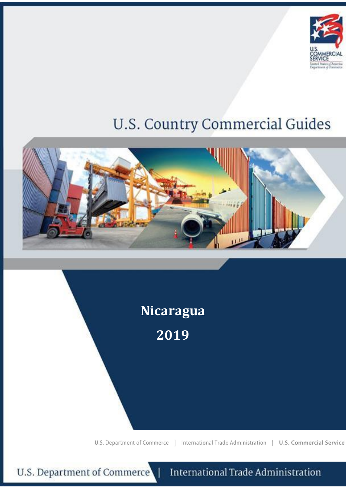

# **U.S. Country Commercial Guides**





U.S. Department of Commerce

**International Trade Administration**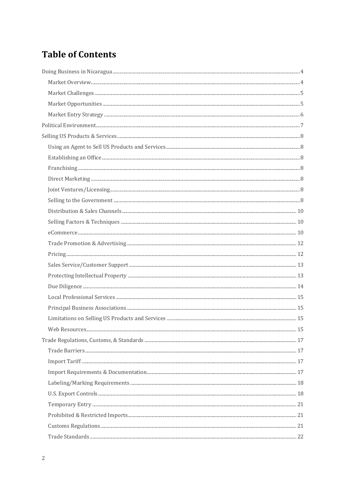# **Table of Contents**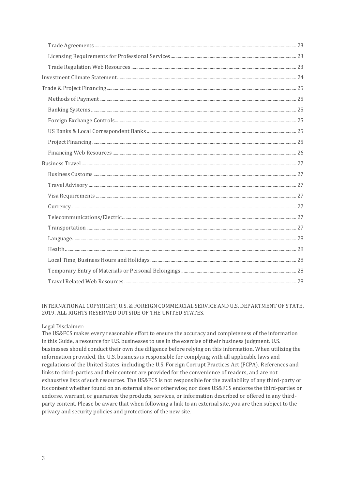# INTERNATIONAL COPYRIGHT, U.S. & FOREIGN COMMERCIAL SERVICE AND U.S. DEPARTMENT OF STATE, 2019. ALL RIGHTS RESERVED OUTSIDE OF THE UNITED STATES.

# Legal Disclaimer:

The US&FCS makes every reasonable effort to ensure the accuracy and completeness of the information in this Guide, a resource-for U.S. businesses to use in the exercise of their business judgment. U.S. businesses should conduct their own due diligence before relying on this information. When utilizing the information provided, the U.S. business is responsible for complying with all applicable laws and regulations of the United States, including the U.S. Foreign Corrupt Practices Act (FCPA). References and links to third-parties and their content are provided for the convenience of readers, and are not exhaustive lists of such resources. The US&FCS is not responsible for the availability of any third-party or its content whether found on an external site or otherwise; nor does US&FCS endorse the third-parties or endorse, warrant, or guarantee the products, services, or information described or offered in any thirdparty content. Please be aware that when following a link to an external site, you are then subject to the privacy and security policies and protections of the new site.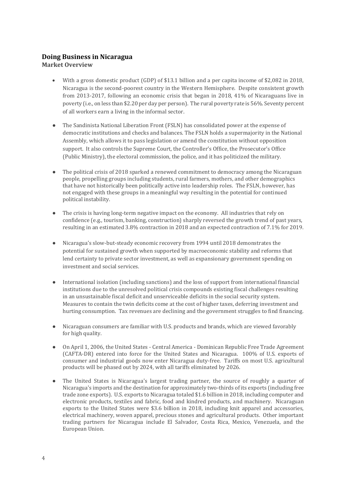# <span id="page-3-0"></span>**Doing Business in Nicaragua**

<span id="page-3-1"></span>**Market Overview** 

- With a gross domestic product (GDP) of \$13.1 billion and a per capita income of \$2,082 in 2018, Nicaragua is the second-poorest country in the Western Hemisphere. Despite consistent growth from 2013-2017, following an economic crisis that began in 2018, 41% of Nicaraguans live in poverty (i.e., on less than \$2.20 per day per person). The rural poverty rate is 56%. Seventy percent of all workers earn a living in the informal sector.
- The Sandinista National Liberation Front (FSLN) has consolidated power at the expense of democratic institutions and checks and balances. The FSLN holds a supermajority in the National Assembly, which allows it to pass legislation or amend the constitution without opposition support. It also controls the Supreme Court, the Controller's Office, the Prosecutor's Office (Public Ministry), the electoral commission, the police, and it has politicized the military.
- The political crisis of 2018 sparked a renewed commitment to democracy among the Nicaraguan people, propelling groups including students, rural farmers, mothers, and other demographics that have not historically been politically active into leadership roles. The FSLN, however, has not engaged with these groups in a meaningful way resulting in the potential for continued political instability.
- The crisis is having long-term negative impact on the economy. All industries that rely on confidence (e.g., tourism, banking, construction) sharply reversed the growth trend of past years, resulting in an estimated 3.8% contraction in 2018 and an expected contraction of 7.1% for 2019.
- Nicaragua's slow-but-steady economic recovery from 1994 until 2018 demonstrates the potential for sustained growth when supported by macroeconomic stability and reforms that lend certainty to private sector investment, as well as expansionary government spending on investment and social services.
- International isolation (including sanctions) and the loss of support from international financial institutions due to the unresolved political crisis compounds existing fiscal challenges resulting in an unsustainable fiscal deficit and unserviceable deficits in the social security system. Measures to contain the twin deficits come at the cost of higher taxes, deferring investment and hurting consumption. Tax revenues are declining and the government struggles to find financing.
- Nicaraguan consumers are familiar with U.S. products and brands, which are viewed favorably for high quality.
- On April 1, 2006, the United States Central America Dominican Republic Free Trade Agreement (CAFTA-DR) entered into force for the United States and Nicaragua. 100% of U.S. exports of consumer and industrial goods now enter Nicaragua duty-free. Tariffs on most U.S. agricultural products will be phased out by 2024, with all tariffs eliminated by 2026.
- The United States is Nicaragua's largest trading partner, the source of roughly a quarter of Nicaragua's imports and the destination for approximately two-thirds of its exports (including free trade zone exports). U.S. exports to Nicaragua totaled \$1.6 billion in 2018, including computer and electronic products, textiles and fabric, food and kindred products, and machinery. Nicaraguan exports to the United States were \$3.6 billion in 2018, including knit apparel and accessories, electrical machinery, woven apparel, precious stones and agricultural products. Other important trading partners for Nicaragua include El Salvador, Costa Rica, Mexico, Venezuela, and the European Union.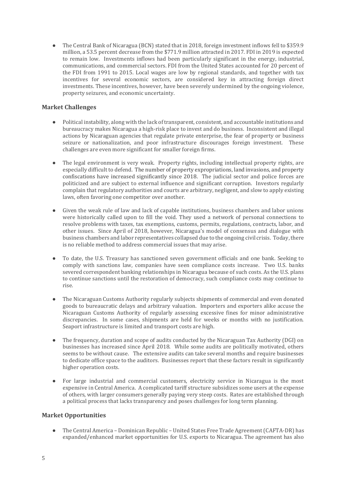The Central Bank of Nicaragua (BCN) stated that in 2018, foreign investment inflows fell to \$359.9 million, a 53.5 percent decrease from the \$771.9 million attracted in 2017. FDI in 2019 is expected to remain low. Investments inflows had been particularly significant in the energy, industrial, communications, and commercial sectors. FDI from the United States accounted for 20 percent of the FDI from 1991 to 2015. Local wages are low by regional standards, and together with tax incentives for several economic sectors, are considered key in attracting foreign direct investments. These incentives, however, have been severely undermined by the ongoing violence, property seizures, and economic uncertainty.

# <span id="page-4-0"></span>**Market Challenges**

- Political instability, along with the lack of transparent, consistent, and accountable institutions and bureaucracy makes Nicaragua a high-risk place to invest and do business. Inconsistent and illegal actions by Nicaraguan agencies that regulate private enterprise, the fear of property or business seizure or nationalization, and poor infrastructure discourages foreign investment. These challenges are even more significant for smaller foreign firms.
- The legal environment is very weak. Property rights, including intellectual property rights, are especially difficult to defend. The number of property expropriations, land invasions, and property confiscations have increased significantly since 2018. The judicial sector and police forces are politicized and are subject to external influence and significant corruption. Investors regularly complain that regulatory authorities and courts are arbitrary, negligent, and slow to apply existing laws, often favoring one competitor over another.
- Given the weak rule of law and lack of capable institutions, business chambers and labor unions were historically called upon to fill the void. They used a network of personal connections to resolve problems with taxes, tax exemptions, customs, permits, regulations, contracts, labor, and other issues. Since April of 2018, however, Nicaragua's model of consensus and dialogue with business chambers and labor representatives collapsed due to the ongoing civil crisis. Today, there is no reliable method to address commercial issues that may arise.
- To date, the U.S. Treasury has sanctioned seven government officials and one bank. Seeking to comply with sanctions law, companies have seen compliance costs increase. Two U.S. banks severed correspondent banking relationships in Nicaragua because of such costs. As the U.S. plans to continue sanctions until the restoration of democracy, such compliance costs may continue to rise.
- The Nicaraguan Customs Authority regularly subjects shipments of commercial and even donated goods to bureaucratic delays and arbitrary valuation. Importers and exporters alike accuse the Nicaraguan Customs Authority of regularly assessing excessive fines for minor administrative discrepancies. In some cases, shipments are held for weeks or months with no justification. Seaport infrastructure is limited and transport costs are high.
- The frequency, duration and scope of audits conducted by the Nicaraguan Tax Authority (DGI) on businesses has increased since April 2018. While some audits are politically motivated, others seems to be without cause. The extensive audits can take several months and require businesses to dedicate office space to the auditors. Businesses report that these factors result in significantly higher operation costs.
- For large industrial and commercial customers, electricity service in Nicaragua is the most expensive in Central America. A complicated tariff structure subsidizes some users at the expense of others, with larger consumers generally paying very steep costs. Rates are established through a political process that lacks transparency and poses challenges for long term planning.

# <span id="page-4-1"></span>**Market Opportunities**

● The Central America – Dominican Republic – United States Free Trade Agreement (CAFTA-DR) has expanded/enhanced market opportunities for U.S. exports to Nicaragua. The agreement has also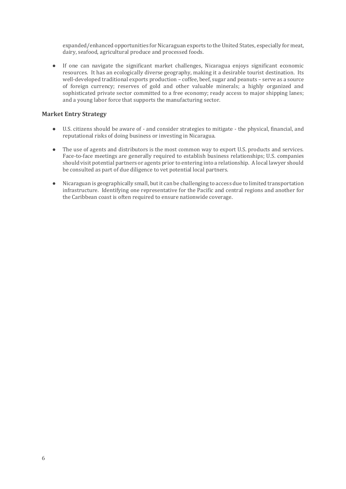expanded/enhanced opportunities for Nicaraguan exports to the United States, especially for meat, dairy, seafood, agricultural produce and processed foods.

● If one can navigate the significant market challenges, Nicaragua enjoys significant economic resources. It has an ecologically diverse geography, making it a desirable tourist destination. Its well-developed traditional exports production – coffee, beef, sugar and peanuts – serve as a source of foreign currency; reserves of gold and other valuable minerals; a highly organized and sophisticated private sector committed to a free economy; ready access to major shipping lanes; and a young labor force that supports the manufacturing sector.

# <span id="page-5-0"></span>**Market Entry Strategy**

- U.S. citizens should be aware of and consider strategies to mitigate the physical, financial, and reputational risks of doing business or investing in Nicaragua.
- The use of agents and distributors is the most common way to export U.S. products and services. Face-to-face meetings are generally required to establish business relationships; U.S. companies should visit potential partners or agents prior to entering into a relationship. A local lawyer should be consulted as part of due diligence to vet potential local partners.
- Nicaraguan is geographically small, but it can be challenging to access due to limited transportation infrastructure. Identifying one representative for the Pacific and central regions and another for the Caribbean coast is often required to ensure nationwide coverage.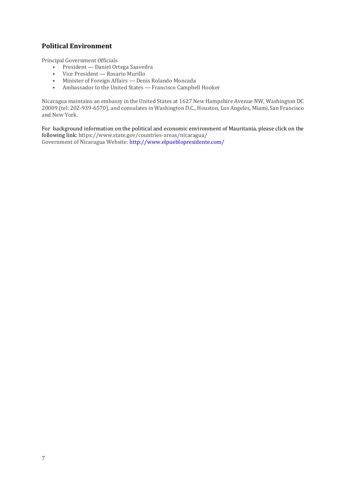# <span id="page-6-0"></span>**Political Environment**

Principal Government Officials

- President Daniel Ortega Saavedra
- Vice President Rosario Murillo
- Minister of Foreign Affairs Denis Rolando Moncada
- Ambassador to the United States Francisco Campbell Hooker

Nicaragua maintains an embassy in the United States at 1627 New Hampshire Avenue NW, Washington DC 20009 (tel: 202-939-6570), and consulates in Washington D.C., Houston, Los Angeles, Miami, San Francisco and New York.

For background information on the political and economic environment of Mauritania, please click on the following link: https://www.state.gov/countries-areas/nicaragua/ Government of Nicaragua Website:<http://www.elpueblopresidente.com/>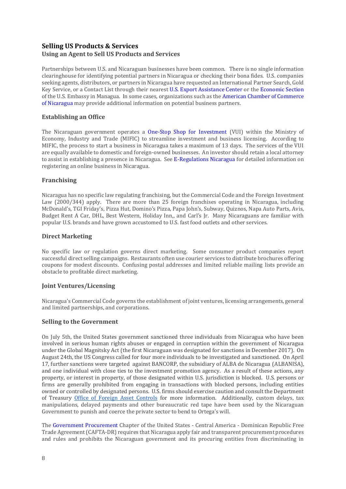# <span id="page-7-1"></span><span id="page-7-0"></span>**Selling US Products & Services Using an Agent to Sell US Products and Services**

Partnerships between U.S. and Nicaraguan businesses have been common. There is no single information clearinghouse for identifying potential partners in Nicaragua or checking their bona fides. U.S. companies seeking agents, distributors, or partners in Nicaragua have requested an International Partner Search, Gold Key Service, or a Contact List through their nearest [U.S. Export Assistance Center](http://www.export.gov/) or the [Economic Section](https://ni.usembassy.gov/embassy/managua/sections-offices/) of the U.S. Embassy in Managua. In some cases, organizations such as the [American Chamber of Commerce](http://www.amcham.org.ni/)  [of Nicaragua](http://www.amcham.org.ni/) may provide additional information on potential business partners.

# <span id="page-7-2"></span>**Establishing an Office**

The Nicaraguan government operates a [One-Stop Shop for Investment](http://vui.mific.gob.ni/) (VUI) within the Ministry of Economy, Industry and Trade (MIFIC) to streamline investment and business licensing. According to MIFIC, the process to start a business in Nicaragua takes a maximum of 13 days. The services of the VUI are equally available to domestic and foreign-owned businesses. An investor should retain a local attorney to assist in establishing a presence in Nicaragua. See [E-Regulations Nicaragua](http://www.tramitesnicaragua.gob.ni/) for detailed information on registering an online business in Nicaragua.

# <span id="page-7-3"></span>**Franchising**

Nicaragua has no specific law regulating franchising, but the Commercial Code and the Foreign Investment Law (2000/344) apply. There are more than 25 foreign franchises operating in Nicaragua, including McDonald's, TGI Friday's, Pizza Hut, Domino's Pizza, Papa John's, Subway, Quiznos, Napa Auto Parts, Avis, Budget Rent A Car, DHL, Best Western, Holiday Inn,, and Carl's Jr. Many Nicaraguans are familiar with popular U.S. brands and have grown accustomed to U.S. fast food outlets and other services.

# <span id="page-7-4"></span>**Direct Marketing**

No specific law or regulation governs direct marketing. Some consumer product companies report successful direct selling campaigns. Restaurants often use courier services to distribute brochures offering coupons for modest discounts. Confusing postal addresses and limited reliable mailing lists provide an obstacle to profitable direct marketing.

# <span id="page-7-5"></span>**Joint Ventures/Licensing**

Nicaragua's Commercial Code governs the establishment of joint ventures, licensing arrangements, general and limited partnerships, and corporations.

# <span id="page-7-6"></span>**Selling to the Government**

On July 5th, the United States government sanctioned three individuals from Nicaragua who have been involved in serious human rights abuses or engaged in corruption within the government of Nicaragua under the Global Magnitsky Act (the first Nicaraguan was designated for sanctions in December 2017). On August 24th, the US Congress called for four more individuals to be investigated and sanctioned. On April 17, further sanctions were targeted against BANCORP, the subsidiary of ALBA de Nicaragua (ALBANISA), and one individual with close ties to the investment promotion agency. As a result of these actions, any property, or interest in property, of those designated within U.S. jurisdiction is blocked. U.S. persons or firms are generally prohibited from engaging in transactions with blocked persons, including entities owned or controlled by designated persons. U.S. firms should exercise caution and consult the Department of Treasury [Office of Foreign Asset Controls](https://www.treasury.gov/about/organizational-structure/offices/Pages/Office-of-Foreign-Assets-Control.aspx) for more information. Additionally, custom delays, tax manipulations, delayed payments and other bureaucratic red tape have been used by the Nicaraguan Government to punish and coerce the private sector to bend to Ortega's will.

The [Government Procurement](http://www.ustr.gov/sites/default/files/uploads/agreements/cafta/asset_upload_file766_3926.pdf) Chapter of the United States - Central America - Dominican Republic Free Trade Agreement (CAFTA-DR) requires that Nicaragua apply fair and transparent procurement procedures and rules and prohibits the Nicaraguan government and its procuring entities from discriminating in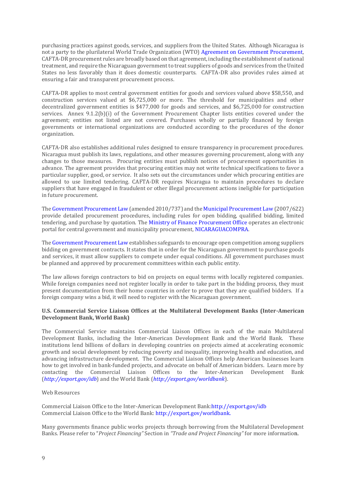purchasing practices against goods, services, and suppliers from the United States. Although Nicaragua is not a party to the plurilateral World Trade Organization (WTO) Agreement on Government Procurement, CAFTA-DR procurement rules are broadly based on that agreement, including the establishment of national treatment, and require the Nicaraguan government to treat suppliers of goods and services from the United States no less favorably than it does domestic counterparts. CAFTA-DR also provides rules aimed at ensuring a fair and transparent procurement process.

CAFTA-DR applies to most central government entities for goods and services valued above \$58,550, and construction services valued at \$6,725,000 or more. The threshold for municipalities and other decentralized government entities is \$477,000 for goods and services, and \$6,725,000 for construction services. Annex 9.1.2(b)(i) of the Government Procurement Chapter lists entities covered under the agreement; entities not listed are not covered. Purchases wholly or partially financed by foreign governments or international organizations are conducted according to the procedures of the donor organization.

CAFTA-DR also establishes additional rules designed to ensure transparency in procurement procedures. Nicaragua must publish its laws, regulations, and other measures governing procurement, along with any changes to those measures. Procuring entities must publish notices of procurement opportunities in advance. The agreement provides that procuring entities may not write technical specifications to favor a particular supplier, good, or service. It also sets out the circumstances under which procuring entities are allowed to use limited tendering. CAFTA-DR requires Nicaragua to maintain procedures to declare suppliers that have engaged in fraudulent or other illegal procurement actions ineligible for participation in future procurement.

Th[e Government Procurement Law](http://legislacion.asamblea.gob.ni/SILEG/Gacetas.nsf/5eea6480fc3d3d90062576e300504635/ce7e17f48271f839062577dc005aaf14?OpenDocument) (amended 2010/737) and th[e Municipal Procurement Law](http://legislacion.asamblea.gob.ni/Normaweb.nsf/($All)/925268779222506F0625733A00631C9A?OpenDocument) (2007/622) provide detailed procurement procedures, including rules for open bidding, qualified bidding, limited tendering, and purchase by quotation. The [Ministry of Finance Procurement Office](http://www.hacienda.gob.ni/Direcciones/contrataciones/introduccion) operates an electronic portal for central government and municipality procurement, [NICARAGUACOMPRA.](http://www.nicaraguacompra.gob.ni/) 

Th[e Government Procurement Law](http://legislacion.asamblea.gob.ni/SILEG/Gacetas.nsf/5eea6480fc3d3d90062576e300504635/ce7e17f48271f839062577dc005aaf14?OpenDocument) establishes safeguards to encourage open competition among suppliers bidding on government contracts. It states that in order for the Nicaraguan government to purchase goods and services, it must allow suppliers to compete under equal conditions. All government purchases must be planned and approved by procurement committees within each public entity.

The law allows foreign contractors to bid on projects on equal terms with locally registered companies. While foreign companies need not register locally in order to take part in the bidding process, they must present documentation from their home countries in order to prove that they are qualified bidders. If a foreign company wins a bid, it will need to register with the Nicaraguan government.

#### **U.S. Commercial Service Liaison Offices at the Multilateral Development Banks (Inter-American Development Bank, World Bank)**

The Commercial Service maintains Commercial Liaison Offices in each of the main Multilateral Development Banks, including the Inter-American Development Bank and the World Bank. These institutions lend billions of dollars in developing countries on projects aimed at accelerating economic growth and social development by reducing poverty and inequality, improving health and education, and advancing infrastructure development. The Commercial Liaison Offices help American businesses learn how to get involved in bank-funded projects, and advocate on behalf of American bidders. Learn more by contacting the Commercial Liaison Offices to the Inter-American Development Bank (*[http://export.gov/idb](http://export.gov/idb#_blank)*) and the World Bank (*[http://export.gov/worldbank](http://export.gov/worldbank#_blank)*).

#### Web Resources

Commercial Liaison Office to the Inter-American Development Bank[:http://export.gov/idb](http://export.gov/idb#_blank) Commercial Liaison Office to the World Bank: [http://export.gov/worldbank.](http://export.gov/worldbank#_blank) 

Many governments finance public works projects through borrowing from the Multilateral Development Banks. Please refer to "*Project Financing"* Section in *"Trade and Project Financing"* for more information.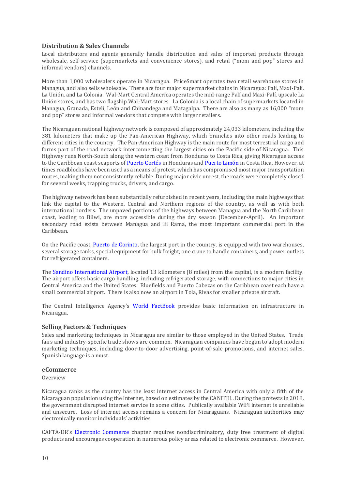# <span id="page-9-0"></span>**Distribution & Sales Channels**

Local distributors and agents generally handle distribution and sales of imported products through wholesale, self-service (supermarkets and convenience stores), and retail ("mom and pop" stores and informal vendors) channels.

More than 1,000 wholesalers operate in Nicaragua. PriceSmart operates two retail warehouse stores in Managua, and also sells wholesale. There are four major supermarket chains in Nicaragua: Palí, Maxi-Palí, La Unión, and La Colonia. Wal-Mart Central America operates the mid-range Palí and Maxi-Palí, upscale La Unión stores, and has two flagship Wal-Mart stores. La Colonia is a local chain of supermarkets located in Managua, Granada, Estelí, León and Chinandega and Matagalpa. There are also as many as 16,000 "mom and pop" stores and informal vendors that compete with larger retailers.

The Nicaraguan national highway network is composed of approximately 24,033 kilometers, including the 381 kilometers that make up the Pan-American Highway, which branches into other roads leading to different cities in the country. The Pan-American Highway is the main route for most terrestrial cargo and forms part of the road network interconnecting the largest cities on the Pacific side of Nicaragua. This Highway runs North-South along the western coast from Honduras to Costa Rica, giving Nicaragua access to the Caribbean coast seaports o[f Puerto Cortés](http://www.enp.hn/puerto-cortes.html) in Honduras an[d Puerto Limón](https://www.govisitcostarica.com/region/city.asp?cID=168) in Costa Rica. However, at times roadblocks have been used as a means of protest, which has compromised most major transportation routes, making them not consistently reliable. During major civic unrest, the roads were completely closed for several weeks, trapping trucks, drivers, and cargo.

The highway network has been substantially refurbished in recent years, including the main highways that link the capital to the Western, Central and Northern regions of the country, as well as with both international borders. The unpaved portions of the highways between Managua and the North Caribbean coast, leading to Bilwi, are more accessible during the dry season (December-April). An important secondary road exists between Managua and El Rama, the most important commercial port in the Caribbean.

On the Pacific coast, [Puerto de Corinto,](http://www.epn.com.ni/) the largest port in the country, is equipped with two warehouses. several storage tanks, special equipment for bulk freight, one crane to handle containers, and power outlets for refrigerated containers.

The [Sandino International Airport,](https://www.eaai.com.ni/) located 13 kilometers (8 miles) from the capital, is a modern facility. The airport offers basic cargo handling, including refrigerated storage, with connections to major cities in Central America and the United States. Bluefields and Puerto Cabezas on the Caribbean coast each have a small commercial airport. There is also now an airport in Tola, Rivas for smaller private aircraft.

The Central Intelligence Agency's [World FactBook](https://www.cia.gov/library/publications/the-world-factbook/geos/nu.html) provides basic information on infrastructure in Nicaragua.

# <span id="page-9-1"></span>**Selling Factors & Techniques**

Sales and marketing techniques in Nicaragua are similar to those employed in the United States. Trade fairs and industry-specific trade shows are common. Nicaraguan companies have begun to adopt modern marketing techniques, including door-to-door advertising, point-of-sale promotions, and internet sales. Spanish language is a must.

# <span id="page-9-2"></span>**eCommerce**

Overview

Nicaragua ranks as the country has the least internet access in Central America with only a fifth of the Nicaraguan population using the Internet, based on estimates by the CANITEL. During the protests in 2018, the government disrupted internet service in some cities. Publically available WiFi internet is unreliable and unsecure. Loss of internet access remains a concern for Nicaraguans. Nicaraguan authorities may electronically monitor individuals' activities.

CAFTA-DR's [Electronic Commerce](http://www.ustr.gov/sites/default/files/uploads/agreements/cafta/asset_upload_file783_3934.pdf) chapter requires nondiscriminatory, duty free treatment of digital products and encourages cooperation in numerous policy areas related to electronic commerce. However,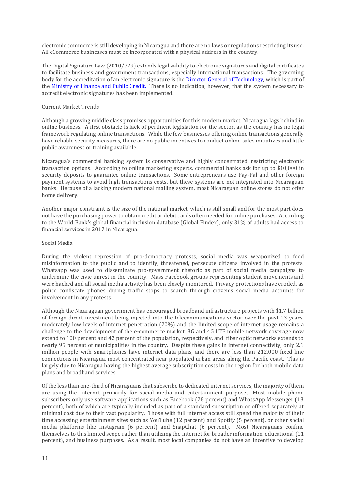electronic commerce is still developing in Nicaragua and there are no laws or regulations restricting its use. All eCommerce businesses must be incorporated with a physical address in the country.

The Digital Signature Law (2010/729) extends legal validity to electronic signatures and digital certificates to facilitate business and government transactions, especially international transactions. The governing body for the accreditation of an electronic signature is the [Director General of Technology,](http://www.hacienda.gob.ni/Direcciones/tecnologia/dgtec) which is part of the [Ministry of Finance and Public Credit.](http://www.hacienda.gob.ni/) There is no indication, however, that the system necessary to accredit electronic signatures has been implemented.

#### Current Market Trends

Although a growing middle class promises opportunities for this modern market, Nicaragua lags behind in online business. A first obstacle is lack of pertinent legislation for the sector, as the country has no legal framework regulating online transactions. While the few businesses offering online transactions generally have reliable security measures, there are no public incentives to conduct online sales initiatives and little public awareness or training available.

Nicaragua's commercial banking system is conservative and highly concentrated, restricting electronic transaction options. According to online marketing experts, commercial banks ask for up to \$10,000 in security deposits to guarantee online transactions. Some entrepreneurs use Pay-Pal and other foreign payment systems to avoid high transactions costs, but these systems are not integrated into Nicaraguan banks. Because of a lacking modern national mailing system, most Nicaraguan online stores do not offer home delivery.

Another major constraint is the size of the national market, which is still small and for the most part does not have the purchasing power to obtain credit or debit cards often needed for online purchases. According to the World Bank's global financial inclusion database (Global Findex), only 31% of adults had access to financial services in 2017 in Nicaragua.

#### Social Media

During the violent repression of pro-democracy protests, social media was weaponized to feed misinformation to the public and to identify, threatened, persecute citizens involved in the protests. Whatsapp was used to disseminate pro-government rhetoric as part of social media campaigns to undermine the civic unrest in the country. Mass Facebook groups representing student movements and were hacked and all social media activity has been closely monitored. Privacy protections have eroded, as police confiscate phones during traffic stops to search through citizen's social media accounts for involvement in any protests.

Although the Nicaraguan government has encouraged broadband infrastructure projects with \$1.7 billion of foreign direct investment being injected into the telecommunications sector over the past 13 years, moderately low levels of internet penetration (20%) and the limited scope of internet usage remains a challenge to the development of the e-commerce market. 3G and 4G LTE mobile network coverage now extend to 100 percent and 42 percent of the population, respectively, and fiber optic networks extends to nearly 95 percent of municipalities in the country. Despite these gains in internet connectivity, only 2.1 million people with smartphones have internet data plans, and there are less than 212,000 fixed line connections in Nicaragua, most concentrated near populated urban areas along the Pacific coast. This is largely due to Nicaragua having the highest average subscription costs in the region for both mobile data plans and broadband services.

Of the less than one-third of Nicaraguans that subscribe to dedicated internet services, the majority of them are using the Internet primarily for social media and entertainment purposes. Most mobile phone subscribers only use software applications such as Facebook (28 percent) and WhatsApp Messenger (13 percent), both of which are typically included as part of a standard subscription or offered separately at minimal cost due to their vast popularity. Those with full internet access still spend the majority of their time accessing entertainment sites such as YouTube (12 percent) and Spotify (5 percent), or other social media platforms like Instagram (6 percent) and SnapChat (6 percent). Most Nicaraguans confine themselves to this limited scope rather than utilizing the Internet for broader information, educational (11 percent), and business purposes. As a result, most local companies do not have an incentive to develop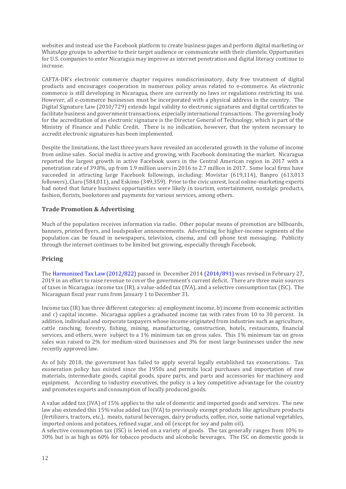websites and instead use the Facebook platform to create business pages and perform digital marketing or WhatsApp groups to advertise to their target audience or communicate with their clientele. Opportunities for U.S. companies to enter Nicaragua may improve as internet penetration and digital literacy continue to increase.

CAFTA-DR's electronic commerce chapter requires nondiscriminatory, duty free treatment of digital products and encourages cooperation in numerous policy areas related to e-commerce. As electronic commerce is still developing in Nicaragua, there are currently no laws or regulations restricting its use. However, all e-commerce businesses must be incorporated with a physical address in the country. The Digital Signature Law (2010/729) extends legal validity to electronic signatures and digital certificates to facilitate business and government transactions, especially international transactions. The governing body for the accreditation of an electronic signature is the Director General of Technology, which is part of the Ministry of Finance and Public Credit. There is no indication, however, that the system necessary to accredit electronic signatures has been implemented.

Despite the limitations, the last three years have revealed an accelerated growth in the volume of income from online sales. Social media is active and growing, with Facebook dominating the market. Nicaragua reported the largest growth in active Facebook users in the Central American region in 2017 with a penetration rate of 39.8%, up from 1.9 million users in 2016 to 2.7 million in 2017. Some local firms have succeeded in attracting large Facebook followings, including: Movistar (619,114), Banpro (613,013 followers), Claro (584,011), and Eskimo (349,359). Prior to the civic unrest, local online-marketing experts had noted that future business opportunities were likely in tourism, entertainment, nostalgic products, fashion, florists, bookstores and payments for various services, among others.

# <span id="page-11-0"></span>**Trade Promotion & Advertising**

Much of the population receives information via radio. Other popular means of promotion are billboards, banners, printed flyers, and loudspeaker announcements. Advertising for higher-income segments of the population can be found in newspapers, television, cinema, and cell phone text messaging. Publicity through the internet continues to be limited but growing, especially through Facebook.

# <span id="page-11-1"></span>**Pricing**

Th[e Harmonized Tax Law \(2012/822\)](https://www.dgi.gob.ni/pdfLegislacion/58) passed in December 2014 [\(2014/891\)](https://www.dgi.gob.ni/pdfLegislacion/55) was revised in February 27, 2019 in an effort to raise revenue to cover the government's current deficit. There are three main sources of taxes in Nicaragua: income tax (IR), a value-added tax (IVA), and a selective consumption tax (ISC). The Nicaraguan fiscal year runs from January 1 to December 31.

Income tax (IR) has three different categories: a) employment income, b) income from economic activities and c) capital income. Nicaragua applies a graduated income tax with rates from 10 to 30 percent. In addition, individual and corporate taxpayers whose income originated from industries such as agriculture, cattle ranching, forestry, fishing, mining, manufacturing, construction, hotels, restaurants, financial services, and others, were subject to a 1% minimum tax on gross sales. This 1% minimum tax on gross sales was raised to 2% for medium-sized businesses and 3% for most large businesses under the new recently approved law.

As of July 2018, the government has failed to apply several legally established tax exonerations. Tax exoneration policy has existed since the 1950s and permits local purchases and importation of raw materials, intermediate goods, capital goods, spare parts, and parts and accessories for machinery and equipment. According to industry executives, the policy is a key competitive advantage for the country and promotes exports and consumption of locally produced goods.

A value added tax (IVA) of 15% applies to the sale of domestic and imported goods and services. The new law also extended this 15% value added tax (IVA) to previously exempt products like agriculture products (fertilizers, tractors, etc.), meats, natural beverages, dairy products, coffee, rice, some national vegetables, imported onions and potatoes, refined sugar, and oil (except for soy and palm oil).

A selective consumption tax (ISC) is levied on a variety of goods. The tax generally ranges from 10% to 30% but is as high as 60% for tobacco products and alcoholic beverages. The ISC on domestic goods is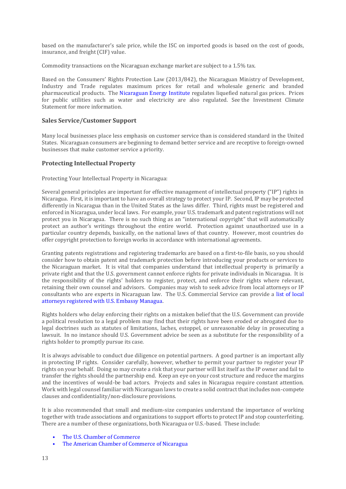based on the manufacturer's sale price, while the ISC on imported goods is based on the cost of goods, insurance, and freight (CIF) value.

Commodity transactions on the Nicaraguan exchange market are subject to a 1.5% tax.

Based on the Consumers' Rights Protection Law (2013/842), the Nicaraguan Ministry of Development, Industry and Trade regulates maximum prices for retail and wholesale generic and branded pharmaceutical products. The [Nicaraguan Energy Institute](http://www.ine.gob.ni/) regulates liquefied natural gas prices. Prices for public utilities such as water and electricity are also regulated. See the Investment Climate Statement for more information.

# <span id="page-12-0"></span>**Sales Service/Customer Support**

Many local businesses place less emphasis on customer service than is considered standard in the United States. Nicaraguan consumers are beginning to demand better service and are receptive to foreign-owned businesses that make customer service a priority.

# <span id="page-12-1"></span>**Protecting Intellectual Property**

Protecting Your Intellectual Property in Nicaragua:

Several general principles are important for effective management of intellectual property ("IP") rights in Nicaragua. First, it is important to have an overall strategy to protect your IP. Second, IP may be protected differently in Nicaragua than in the United States as the laws differ. Third, rights must be registered and enforced in Nicaragua, under local laws. For example, your U.S. trademark and patent registrations will not protect you in Nicaragua. There is no such thing as an "international copyright" that will automatically protect an author's writings throughout the entire world. Protection against unauthorized use in a particular country depends, basically, on the national laws of that country. However, most countries do offer copyright protection to foreign works in accordance with international agreements.

Granting patents registrations and registering trademarks are based on a first-to-file basis, so you should consider how to obtain patent and trademark protection before introducing your products or services to the Nicaraguan market. It is vital that companies understand that intellectual property is primarily a private right and that the U.S. government cannot enforce rights for private individuals in Nicaragua. It is the responsibility of the rights' holders to register, protect, and enforce their rights where relevant, retaining their own counsel and advisors. Companies may wish to seek advice from local attorneys or IP consultants who are experts in Nicaraguan law. The U.S. Commercial Service can provide a [list of local](https://ni.usembassy.gov/u-s-citizen-services/local-resources-of-u-s-citizens/attorneys/)  [attorneys registered with U.S. Embassy Managua.](https://ni.usembassy.gov/u-s-citizen-services/local-resources-of-u-s-citizens/attorneys/)

Rights holders who delay enforcing their rights on a mistaken belief that the U.S. Government can provide a political resolution to a legal problem may find that their rights have been eroded or abrogated due to legal doctrines such as statutes of limitations, laches, estoppel, or unreasonable delay in prosecuting a lawsuit. In no instance should U.S. Government advice be seen as a substitute for the responsibility of a rights holder to promptly pursue its case.

It is always advisable to conduct due diligence on potential partners. A good partner is an important ally in protecting IP rights. Consider carefully, however, whether to permit your partner to register your IP rights on your behalf. Doing so may create a risk that your partner will list itself as the IP owner and fail to transfer the rights should the partnership end. Keep an eye on your cost structure and reduce the margins and the incentives of would-be bad actors. Projects and sales in Nicaragua require constant attention. Work with legal counsel familiar with Nicaraguan laws to create a solid contract that includes non-compete clauses and confidentiality/non-disclosure provisions.

It is also recommended that small and medium-size companies understand the importance of working together with trade associations and organizations to support efforts to protect IP and stop counterfeiting. There are a number of these organizations, both Nicaragua or U.S.-based. These include:

- [The U.S. Chamber of Commerce](http://www.theglobalipcenter.com/)
- [The American Chamber of Commerce of Nicaragua](http://www.amcham.org.ni/)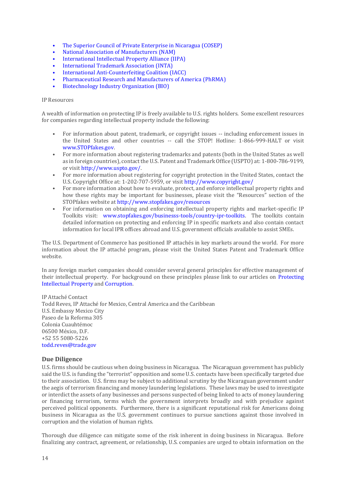- [The Superior Council of Private Enterprise in Nicaragua \(COSEP\)](http://www.cosep.org.ni/)
- [National Association of Manufacturers \(NAM\)](http://www.nam.org/)
- [International Intellectual Property Alliance \(IIPA\)](http://www.iipawebsite.com/)
- [International Trademark Association \(INTA\)](http://www.inta.org/Pages/Home.aspx)
- [International Anti-Counterfeiting Coalition \(IACC\)](http://www.iacc.org/)
- [Pharmaceutical Research and Manufacturers of America \(PhRMA\)](http://www.phrma.org/)
- [Biotechnology Industry Organization \(BIO\)](https://www.bio.org/)

#### IP Resources

A wealth of information on protecting IP is freely available to U.S. rights holders. Some excellent resources for companies regarding intellectual property include the following:

- For information about patent, trademark, or copyright issues -- including enforcement issues in the United States and other countries -- call the STOP! Hotline: 1-866-999-HALT or visit [www.STOPfakes.gov.](http://www.stopfakes.gov/)
- For more information about registering trademarks and patents (both in the United States as well as in foreign countries), contact the U.S. Patent and Trademark Office (USPTO) at: 1-800-786-9199, or visit [http://www.uspto.gov/.](http://www.uspto.gov/)
- For more information about registering for copyright protection in the United States, contact the U.S. Copyright Office at: 1-202-707-5959, or visi[t http://www.copyright.gov/](http://www.copyright.gov/)
- For more information about how to evaluate, protect, and enforce intellectual property rights and how these rights may be important for businesses, please visit the "Resources" section of the STOPfakes website a[t http://www.stopfakes.gov/resources](http://www.stopfakes.gov/resources)
- For information on obtaining and enforcing intellectual property rights and market-specific IP Toolkits visit: [www.stopfakes.gov/businesss-tools/country-ipr-toolkits.](https://www.stopfakes.gov/article?id=Protecting-IPR-Overseas-Resources-for-U-S-Businesses) The toolkits contain detailed information on protecting and enforcing IP in specific markets and also contain contact information for local IPR offices abroad and U.S. government officials available to assist SMEs.

The U.S. Department of Commerce has positioned IP attachés in key markets around the world. For more information about the IP attaché program, please visit the [United States Patent and Trademark Office](http://www.uspto.gov/learning-and-resources/ip-policy/intellectual-property-rights-ipr-attach-program/intellectual)  [website.](http://www.uspto.gov/learning-and-resources/ip-policy/intellectual-property-rights-ipr-attach-program/intellectual)

In any foreign market companies should consider several general principles for effective management of their intellectual property. For background on these principles please link to our articles on [Protecting](https://www.export.gov/article?id=Protecting-Intellectual-Property)  [Intellectual Property](https://www.export.gov/article?id=Protecting-Intellectual-Property) and [Corruption.](https://www.export.gov/article?id=Corruption)

IP Attaché Contact Todd Reves, IP Attaché for Mexico, Central America and the Caribbean U.S. Embassy Mexico City Paseo de la Reforma 305 Colonia Cuauhtémoc 06500 México, D.F. +52 55 5080-5226 [todd.reves@trade.gov](mailto:todd.reves@trade.gov) 

#### <span id="page-13-0"></span>**Due Diligence**

U.S. firms should be cautious when doing business in Nicaragua. The Nicaraguan government has publicly said the U.S. is funding the "terrorist" opposition and some U.S. contacts have been specifically targeted due to their association. U.S. firms may be subject to additional scrutiny by the Nicaraguan government under the aegis of terrorism financing and money laundering legislations. These laws may be used to investigate or interdict the assets of any businesses and persons suspected of being linked to acts of money laundering or financing terrorism, terms which the government interprets broadly and with prejudice against perceived political opponents. Furthermore, there is a significant reputational risk for Americans doing business in Nicaragua as the U.S. government continues to pursue sanctions against those involved in corruption and the violation of human rights.

Thorough due diligence can mitigate some of the risk inherent in doing business in Nicaragua. Before finalizing any contract, agreement, or relationship, U.S. companies are urged to obtain information on the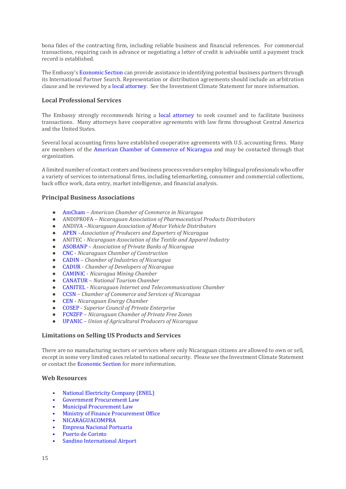bona fides of the contracting firm, including reliable business and financial references. For commercial transactions, requiring cash in advance or negotiating a letter of credit is advisable until a payment track record is established.

The Embassy's [Economic Section](https://ni.usembassy.gov/business/getting-started-nicaragua/) can provide assistance in identifying potential business partners through its International Partner Search. Representation or distribution agreements should include an arbitration clause and be reviewed by [a local attorney.](https://ni.usembassy.gov/u-s-citizen-services/local-resources-of-u-s-citizens/attorneys/) See the Investment Climate Statement for more information.

# <span id="page-14-0"></span>**Local Professional Services**

The Embassy strongly recommends hiring a [local attorney](https://ni.usembassy.gov/u-s-citizen-services/local-resources-of-u-s-citizens/attorneys/) to seek counsel and to facilitate business transactions. Many attorneys have cooperative agreements with law firms throughout Central America and the United States.

Several local accounting firms have established cooperative agreements with U.S. accounting firms. Many are members of the [American Chamber of Commerce of Nicaragua](http://www.amcham.org.ni/) and may be contacted through that organization.

A limited number of contact centers and business process vendors employ bilingual professionals who offer a variety of services to international firms, including telemarketing, consumer and commercial collections, back office work, data entry, market intelligence, and financial analysis.

# <span id="page-14-1"></span>**Principal Business Associations**

- [AmCham](http://www.amcham.org.ni/) *American Chamber of Commerce in Nicaragua*
- ANDIPROFA *Nicaraguan Association of Pharmaceutical Products Distributors*
- ANDIVA –*Nicaraguan Association of Motor Vehicle Distributors*
- [APEN](http://apen.org.ni/) –*Association of Producers and Exporters of Nicaragua*
- ANITEC *Nicaraguan Association of the Textile and Apparel Industry*
- [ASOBANP](http://www.asobanp.org.ni/) *Association of Private Banks of Nicaragua*
- [CNC](http://www.construccion.org.ni/) *Nicaraguan Chamber of Construction*
- [CADIN](http://www.cadin.org.ni/) *Chamber of Industries of Nicaragua*
- [CADUR](http://www.cadur.org.ni/) *Chamber of Developers of Nicaragua*
- [CAMINIC](http://caminic.com/) *Nicaragua Mining Chamber*
- [CANATUR](https://www.canatur-nicaragua.org/) *National Tourism Chamber*
- [CANITEL](http://canitel.org.ni/) *- Nicaraguan Internet and Telecommunications Chamber*
- [CCSN](http://www.ccsn.org.ni/) *Chamber of Commerce and Services of Nicaragua*
- [CEN](http://cennic.org/) *Nicaraguan Energy Chamber*
- [COSEP](http://www.cosep.org.ni/) *Superior Council of Private Enterprise*
- [FCNZFP](http://fcnzfp.org/) *Nicaraguan Chamber of Private Free Zones*
- [UPANIC](http://www.congresoagropecuarioupanic.com.ni/) *Union of Agricultural Producers of Nicaragua*

# <span id="page-14-2"></span>**Limitations on Selling US Products and Services**

There are no manufacturing sectors or services where only Nicaraguan citizens are allowed to own or sell, except in some very limited cases related to national security. Please see the Investment Climate Statement or contact the [Economic Section](https://ni.usembassy.gov/embassy/managua/sections-offices/?_ga=2.1696689.1603636765.1531752599-251487372.1531233556) for more information.

# <span id="page-14-3"></span>**Web Resources**

- [National Electricity Company](http://www.enel.gob.ni/) (ENEL)
- [Government Procurement Law](http://legislacion.asamblea.gob.ni/SILEG/Gacetas.nsf/5eea6480fc3d3d90062576e300504635/ce7e17f48271f839062577dc005aaf14?OpenDocument)
- [Municipal Procurement Law](http://legislacion.asamblea.gob.ni/Normaweb.nsf/($All)/925268779222506F0625733A00631C9A?OpenDocument)
- [Ministry of Finance Procurement Office](http://www.hacienda.gob.ni/Direcciones/contrataciones/introduccion)
- [NICARAGUACOMPRA](http://www.nicaraguacompra.gob.ni/)
- [Empresa Nacional Portuaria](http://www.enp.hn/web/index.html)
- [Puerto de Corinto](http://www.epn.com.ni/)
- [Sandino International Airport](http://www.eaai.com.ni/)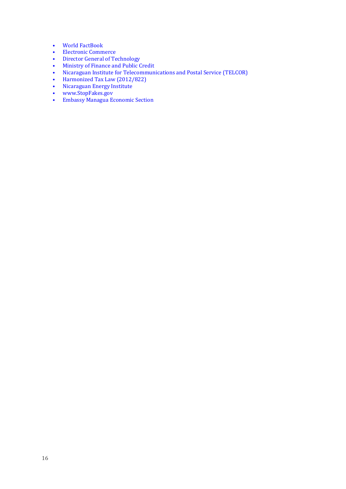- [World FactBook](https://www.cia.gov/library/publications/the-world-factbook/geos/nu.html)
- [Electronic Commerce](http://www.ustr.gov/sites/default/files/uploads/agreements/cafta/asset_upload_file783_3934.pdf)
- [Director General of Technology](http://www.hacienda.gob.ni/Direcciones/tecnologia/dgtec)
- [Ministry of Finance and Public Credit](http://www.hacienda.gob.ni/)
- [Nicaraguan Institute for Telecommunications and Postal Service](http://www.telcor.gob.ni/Default.asp) (TELCOR)
- [Harmonized Tax Law \(2012/822\)](https://www.dgi.gob.ni/pdfLegislacion/58)
- [Nicaraguan Energy Institute](http://www.ine.gob.ni/)
- [www.StopFakes.gov](http://www.stopfakes.gov/)
- [Embassy Managua Economic Section](https://ni.usembassy.gov/embassy/managua/sections-offices/?_ga=2.1696689.1603636765.1531752599-251487372.1531233556)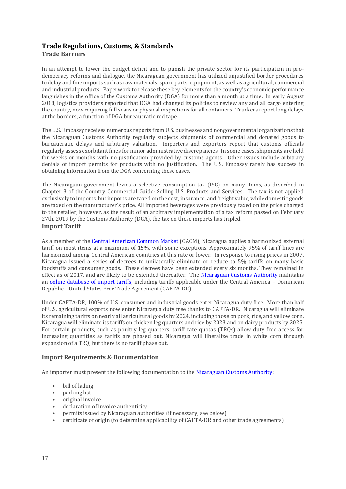# <span id="page-16-1"></span><span id="page-16-0"></span>**Trade Regulations, Customs, & Standards Trade Barriers**

In an attempt to lower the budget deficit and to punish the private sector for its participation in prodemocracy reforms and dialogue, the Nicaraguan government has utilized unjustified border procedures to delay and fine imports such as raw materials, spare parts, equipment, as well as agricultural, commercial and industrial products. Paperwork to release these key elements for the country's economic performance languishes in the office of the Customs Authority (DGA) for more than a month at a time. In early August 2018, logistics providers reported that DGA had changed its policies to review any and all cargo entering the country, now requiring full scans or physical inspections for all containers. Truckers report long delays at the borders, a function of DGA bureaucratic red tape.

The U.S. Embassy receives numerous reports from U.S. businesses and nongovernmental organizations that the Nicaraguan Customs Authority regularly subjects shipments of commercial and donated goods to bureaucratic delays and arbitrary valuation. Importers and exporters report that customs officials regularly assess exorbitant fines for minor administrative discrepancies. In some cases, shipments are held for weeks or months with no justification provided by customs agents. Other issues include arbitrary denials of import permits for products with no justification. The U.S. Embassy rarely has success in obtaining information from the DGA concerning these cases.

The Nicaraguan government levies a selective consumption tax (ISC) on many items, as described in Chapter 3 of the Country Commercial Guide: Selling U.S. Products and Services. The tax is not applied exclusively to imports, but imports are taxed on the cost, insurance, and freight value, while domestic goods are taxed on the manufacturer's price. All imported beverages were previously taxed on the price charged to the retailer, however, as the result of an arbitrary implementation of a tax reform passed on February 27th, 2019 by the Customs Authority (DGA), the tax on these imports has tripled. **Import Tariff**

<span id="page-16-2"></span>As a member of the [Central American Common Market](https://www.sieca.int/) (CACM), Nicaragua applies a harmonized external tariff on most items at a maximum of 15%, with some exceptions. Approximately 95% of tariff lines are harmonized among Central American countries at this rate or lower. In response to rising prices in 2007, Nicaragua issued a series of decrees to unilaterally eliminate or reduce to 5% tariffs on many basic foodstuffs and consumer goods. These decrees have been extended every six months. They remained in effect as of 2017, and are likely to be extended thereafter. The [Nicaraguan Customs Authority](http://www.dga.gob.ni/) maintains an [online database of import tariffs,](http://www.dga.gob.ni/sac01.cfm) including tariffs applicable under the Central America – Dominican Republic – United States Free Trade Agreement (CAFTA-DR).

Under CAFTA-DR, 100% of U.S. consumer and industrial goods enter Nicaragua duty free. More than half of U.S. agricultural exports now enter Nicaragua duty free thanks to CAFTA-DR. Nicaragua will eliminate its remaining tariffs on nearly all agricultural goods by 2024, including those on pork, rice, and yellow corn. Nicaragua will eliminate its tariffs on chicken leg quarters and rice by 2023 and on dairy products by 2025. For certain products, such as poultry leg quarters, tariff rate quotas (TRQs) allow duty free access for increasing quantities as tariffs are phased out. Nicaragua will liberalize trade in white corn through expansion of a TRQ, but there is no tariff phase out.

# <span id="page-16-3"></span>**Import Requirements & Documentation**

An importer must present the following documentation to th[e Nicaraguan Customs Authority:](http://www.dga.gob.ni/)

- bill of lading
- packing list
- original invoice
- declaration of invoice authenticity
- permits issued by Nicaraguan authorities (if necessary, see below)
- certificate of origin (to determine applicability of CAFTA-DR and other trade agreements)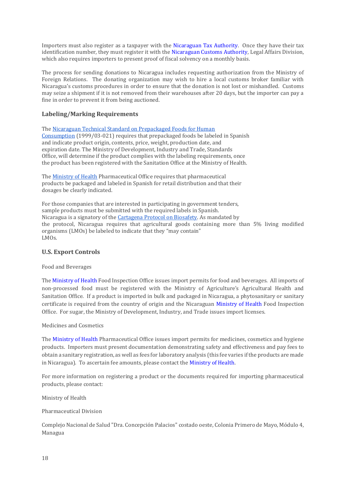Importers must also register as a taxpayer with the [Nicaraguan Tax Authority.](http://www.dgi.gob.ni/) Once they have their tax identification number, they must register it with the [Nicaraguan Customs Authority,](http://www.dga.gob.ni/) Legal Affairs Division, which also requires importers to present proof of fiscal solvency on a monthly basis.

The process for sending donations to Nicaragua includes requesting authorization from the Ministry of Foreign Relations. The donating organization may wish to hire a local customs broker familiar with Nicaragua's customs procedures in order to ensure that the donation is not lost or mishandled. Customs may seize a shipment if it is not removed from their warehouses after 20 days, but the importer can pay a fine in order to prevent it from being auctioned.

# <span id="page-17-0"></span>**Labeling/Marking Requirements**

Th[e Nicaraguan Technical Standard on Prepackaged Foods for Human](http://legislacion.asamblea.gob.ni/Normaweb.nsf/($All)/7DCB76C06DF62D1806257736007676D0?OpenDocument) [Consumption](http://legislacion.asamblea.gob.ni/Normaweb.nsf/($All)/7DCB76C06DF62D1806257736007676D0?OpenDocument) (1999/03-021) requires that prepackaged foods be labeled in Spanish and indicate product origin, contents, price, weight, production date, and expiration date. The Ministry of Development, Industry and Trade, Standards Office, will determine if the product complies with the labeling requirements, once the product has been registered with the Sanitation Office at the Ministry of Health.

Th[e Ministry of Health](http://www.minsa.gob.ni/) Pharmaceutical Office requires that pharmaceutical products be packaged and labeled in Spanish for retail distribution and that their dosages be clearly indicated.

For those companies that are interested in participating in government tenders, sample products must be submitted with the required labels in Spanish. Nicaragua is a signatory of the [Cartagena Protocol on Biosafety.](http://bch.cbd.int/protocol) As mandated by the protocol, Nicaragua requires that agricultural goods containing more than 5% living modified organisms (LMOs) be labeled to indicate that they "may contain" LMOs.

# <span id="page-17-1"></span>**U.S. Export Controls**

Food and Beverages

Th[e Ministry of Health](http://www.minsa.gob.ni/) Food Inspection Office issues import permits for food and beverages. All imports of non-processed food must be registered with the Ministry of Agriculture's Agricultural Health and Sanitation Office. If a product is imported in bulk and packaged in Nicaragua, a phytosanitary or sanitary certificate is required from the country of origin and the Nicaraguan [Ministry of Health](http://www.minsa.gob.ni/) Food Inspection Office. For sugar, the Ministry of Development, Industry, and Trade issues import licenses.

#### Medicines and Cosmetics

The [Ministry of Health](http://www.minsa.gob.ni/) Pharmaceutical Office issues import permits for medicines, cosmetics and hygiene products. Importers must present documentation demonstrating safety and effectiveness and pay fees to obtain a sanitary registration, as well as fees for laboratory analysis (this fee varies if the products are made in Nicaragua). To ascertain fee amounts, please contact th[e Ministry of Health.](http://www.minsa.gob.ni/)

For more information on registering a product or the documents required for importing pharmaceutical products, please contact:

Ministry of Health

Pharmaceutical Division

Complejo Nacional de Salud "Dra. Concepción Palacios" costado oeste, Colonia Primero de Mayo, Módulo 4, Managua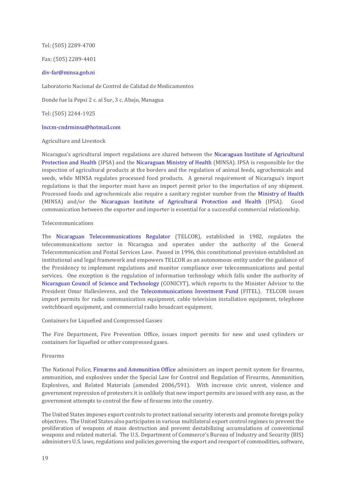Tel: (505) 2289-4700

Fax: (505) 2289-4401

#### [div-far@minsa.gob.ni](mailto:div-far@minsa.gob.ni)

Laboratorio Nacional de Control de Calidad de Medicamentos

Donde fue la Pepsi 2 c. al Sur, 3 c. Abajo, Managua

Tel: (505) 2244-1925

#### [lnccm-cndrminsa@hotmail.com](mailto:lnccm-cndrminsa@hotmail.com)

#### Agriculture and Livestock

Nicaragua's agricultural import regulations are shared between the [Nicaraguan Institute of Agricultural](http://www.ipsa.gob.ni/)  [Protection and Health](http://www.ipsa.gob.ni/) (IPSA) and the [Nicaraguan Ministry of Health](http://www.minsa.gob.ni/) (MINSA). IPSA is responsible for the inspection of agricultural products at the borders and the regulation of animal feeds, agrochemicals and seeds, while MINSA regulates processed food products. A general requirement of Nicaragua's import regulations is that the importer must have an import permit prior to the importation of any shipment. Processed foods and agrochemicals also require a sanitary register number from the [Ministry of Health](http://www.minsa.gob.ni/) (MINSA) and/or the [Nicaraguan Institute of Agricultural Protection and Health](http://www.ipsa.gob.ni/) (IPSA). Good communication between the exporter and importer is essential for a successful commercial relationship.

#### Telecommunications

The [Nicaraguan Telecommunications Regulator](http://www.telcor.gob.ni/) (TELCOR), established in 1982, regulates the telecommunications sector in Nicaragua and operates under the authority of the General Telecommunication and Postal Services Law. Passed in 1996, this constitutional provision established an institutional and legal framework and empowers TELCOR as an autonomous entity under the guidance of the Presidency to implement regulations and monitor compliance over telecommunications and postal services. One exception is the regulation of information technology which falls under the authority of [Nicaraguan Council of Science and Technology](http://conicyt.gob.ni/) (CONICYT), which reports to the Minister Advisor to the President Omar Halleslevens, and the [Telecommunications Investment Fund](http://www.telcor.gob.ni/Desplegar.asp?PAG_ID=15) (FITEL). TELCOR issues import permits for radio communication equipment, cable television installation equipment, telephone switchboard equipment, and commercial radio broadcast equipment.

Containers for Liquefied and Compressed Gasses

The Fire Department, Fire Prevention Office, issues import permits for new and used cylinders or containers for liquefied or other compressed gases.

#### Firearms

The National Police, [Firearms and Ammunition Office](http://www.policia.gob.ni/) administers an import permit system for firearms, ammunition, and explosives under the Special Law for Control and Regulation of Firearms, Ammunition, Explosives, and Related Materials (amended 2006/591). With increase civic unrest, violence and government repression of protesters it is unlikely that new import permits are issued with any ease, as the government attempts to control the flow of firearms into the country.

The United States imposes export controls to protect national security interests and promote foreign policy objectives. The United States also participates in various multilateral export control regimes to prevent the proliferation of weapons of mass destruction and prevent destabilizing accumulations of conventional weapons and related material. The U.S. Department of Commerce's Bureau of Industry and Security (BIS) administers U.S. laws, regulations and policies governing the export and reexport of commodities, software,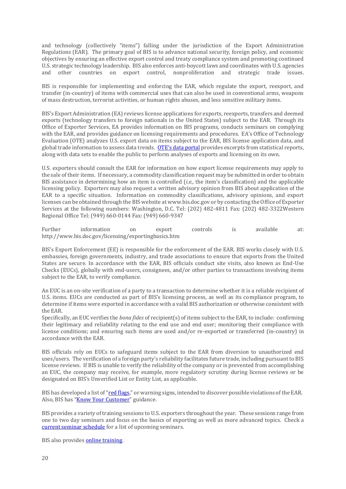and technology (collectively "items") falling under the jurisdiction of the Export Administration Regulations (EAR). The primary goal of BIS is to advance national security, foreign policy, and economic objectives by ensuring an effective export control and treaty compliance system and promoting continued U.S. strategic technology leadership. BIS also enforces anti-boycott laws and coordinates with U.S. agencies and other countries on export control, nonproliferation and strategic trade issues.

BIS is responsible for implementing and enforcing the EAR, which regulate the export, reexport, and transfer (in-country) of items with commercial uses that can also be used in conventional arms, weapons of mass destruction, terrorist activities, or human rights abuses, and less sensitive military items.

BIS's Export Administration (EA) reviews license applications for exports, reexports, transfers and deemed exports (technology transfers to foreign nationals in the United States) subject to the EAR. Through its Office of Exporter Services, EA provides information on BIS programs, conducts seminars on complying with the EAR, and provides guidance on licensing requirements and procedures. EA's Office of Technology Evaluation (OTE) analyzes U.S. export data on items subject to the EAR, BIS license application data, and global trade information to assess data trends. [OTE's data portal](https://www.bis.doc.gov/data-portal) provides excerpts from statistical reports, along with data sets to enable the public to perform analyses of exports and licensing on its own.

U.S. exporters should consult the EAR for information on how export license requirements may apply to the sale of their items. If necessary, a commodity classification request may be submitted in order to obtain BIS assistance in determining how an item is controlled (*i.e.,* the item's classification) and the applicable licensing policy. Exporters may also request a written advisory opinion from BIS about application of the EAR to a specific situation. Information on commodity classifications, advisory opinions, and export licenses can be obtained through the BIS website at www.bis.doc.gov or by contacting the Office of Exporter Services at the following numbers: Washington, D.C. Tel: (202) 482-4811 Fax: (202) 482-3322Western Regional Office Tel: (949) 660-0144 Fax: (949) 660-9347

Further information on export controls is available at: <http://www.bis.doc.gov/licensing/exportingbasics.htm>

BIS's Export Enforcement (EE) is responsible for the enforcement of the EAR. BIS works closely with U.S. embassies, foreign governments, industry, and trade associations to ensure that exports from the United States are secure. In accordance with the EAR, BIS officials conduct site visits, also known as End-Use Checks (EUCs), globally with end-users, consignees, and/or other parties to transactions involving items subject to the EAR, to verify compliance.

An EUC is an on-site verification of a party to a transaction to determine whether it is a reliable recipient of U.S. items. EUCs are conducted as part of BIS's licensing process, as well as its compliance program, to determine if items were exported in accordance with a valid BIS authorization or otherwise consistent with the EAR.

Specifically, an EUC verifies the *bona fides* of recipient(s) of items subject to the EAR, to include: confirming their legitimacy and reliability relating to the end use and end user; monitoring their compliance with license conditions; and ensuring such items are used and/or re-exported or transferred (in-country) in accordance with the EAR.

BIS officials rely on EUCs to safeguard items subject to the EAR from diversion to unauthorized end uses/users. The verification of a foreign party's reliability facilitates future trade, including pursuant to BIS license reviews. If BIS is unable to verify the reliability of the company or is prevented from accomplishing an EUC, the company may receive, for example, more regulatory scrutiny during license reviews or be designated on BIS's Unverified List or Entity List, as applicable.

BIS has developed a list of "[red flags](https://www.bis.doc.gov/index.php?option=com_content&view=article&id=51&catid=23)," or warning signs, intended to discover possible violations of the EAR. Also, BIS has "[Know Your Customer](https://www.bis.doc.gov/index.php?option=com_content&view=article&id=47&catid=23)" guidance.

BIS provides a variety of training sessions to U.S. exporters throughout the year. These sessions range from one to two day seminars and focus on the basics of exporting as well as more advanced topics. Check a [current seminar schedule](https://www.bis.doc.gov/index.php/compliance-a-training/current-seminar-schedule) for a list of upcoming seminars.

BIS also provide[s online training.](https://www.bis.doc.gov/index.php/compliance-a-training/export-administration-regulations-training/online-training-room)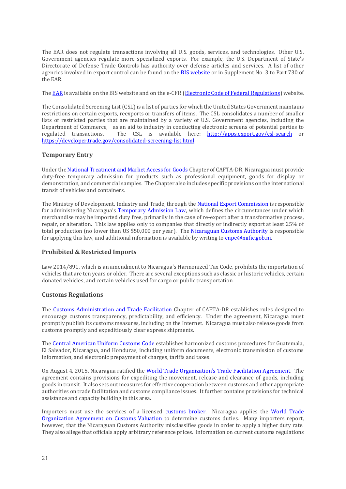The EAR does not regulate transactions involving all U.S. goods, services, and technologies. Other U.S. Government agencies regulate more specialized exports. For example, the U.S. Department of State's Directorate of Defense Trade Controls has authority over defense articles and services. A list of other agencies involved in export control can be found on the **BIS website** or in Supplement No. 3 to Part 730 of the EAR.

Th[e EAR](https://www.bis.doc.gov/index.php/regulations/export-administration-regulations-ear) is available on the BIS website and on the e-CFR [\(Electronic Code of Federal Regulations\)](https://www.ecfr.gov/cgi-bin/ECFR?page=browse) website.

The Consolidated Screening List (CSL) is a list of parties for which the United States Government maintains restrictions on certain exports, reexports or transfers of items. The CSL consolidates a number of smaller lists of restricted parties that are maintained by a variety of U.S. Government agencies, including the Department of Commerce, as an aid to industry in conducting electronic screens of potential parties to regulated transactions. The CSL is available here: <http://apps.export.gov/csl-search> or [https://developer.trade.gov/consolidated-screening-list.html.](https://developer.trade.gov/consolidated-screening-list.html)

# <span id="page-20-0"></span>**Temporary Entry**

Under th[e National Treatment and Market Access for Goods](http://www.ustr.gov/sites/default/files/uploads/agreements/cafta/asset_upload_file721_3920.pdf) Chapter of CAFTA-DR, Nicaragua must provide duty-free temporary admission for products such as professional equipment, goods for display or demonstration, and commercial samples. The Chapter also includes specific provisions on the international transit of vehicles and containers.

The Ministry of Development, Industry and Trade, through the [National Export Commission](http://www.mific.gob.ni/FOMENTOALAEXPORTACION/tabid/64/language/en-US/Default.aspx) is responsible for administering Nicaragua's [Temporary Admission Law,](http://www.mific.gob.ni/FOMENTOALAEXPORTACION/INCENTIVOSALAEXPORTACION/INCENTIVOSALAEXPORTACIONREGIMENADMISIONTEM/tabid/71/language/en-US/Default.aspx) which defines the circumstances under which merchandise may be imported duty free, primarily in the case of re-export after a transformative process, repair, or alteration. This law applies only to companies that directly or indirectly export at least 25% of total production (no lower than US \$50,000 per year). The [Nicaraguan Customs Authority](http://www.dga.gob.ni/circulares/2004/CT-070-2004%20ADMISION%20TEMPORAL%20LEY%20382%20.pdf) is responsible for applying this law, and additional information is available by writing t[o cnpe@mific.gob.ni.](mailto:cnpe@mific.gob.ni)

# <span id="page-20-1"></span>**Prohibited & Restricted Imports**

Law 2014/891, which is an amendment to Nicaragua's Harmonized Tax Code, prohibits the importation of vehicles that are ten years or older. There are several exceptions such as classic or historic vehicles, certain donated vehicles, and certain vehicles used for cargo or public transportation.

# <span id="page-20-2"></span>**Customs Regulations**

The [Customs Administration and Trade Facilitation](http://www.ustr.gov/sites/default/files/uploads/agreements/cafta/asset_upload_file358_3922.pdf) Chapter of CAFTA-DR establishes rules designed to encourage customs transparency, predictability, and efficiency. Under the agreement, Nicaragua must promptly publish its customs measures, including on the Internet. Nicaragua must also release goods from customs promptly and expeditiously clear express shipments.

Th[e Central American Uniform Customs Code](http://www.sieca.int/) establishes harmonized customs procedures for Guatemala, El Salvador, Nicaragua, and Honduras, including uniform documents, electronic transmission of customs information, and electronic prepayment of charges, tariffs and taxes.

On August 4, 2015, Nicaragua ratified the [World Trade Organization's Trade Facilitation Agreement](https://www.wto.org/english/tratop_e/tradfa_e/tradfa_e.htm). The agreement contains provisions for expediting the movement, release and clearance of goods, including goods in transit. It also sets out measures for effective cooperation between customs and other appropriate authorities on trade facilitation and customs compliance issues. It further contains provisions for technical assistance and capacity building in this area.

Importers must use the services of a licensed [customs broker.](http://www.dga.gob.ni/agencias01.cfm) Nicaragua applies the [World Trade](https://www.wto.org/english/tratop_e/cusval_e/cusval_e.htm)  [Organization Agreement on Customs Valuation](https://www.wto.org/english/tratop_e/cusval_e/cusval_e.htm) to determine customs duties. Many importers report, however, that the Nicaraguan Customs Authority misclassifies goods in order to apply a higher duty rate. They also allege that officials apply arbitrary reference prices. Information on current customs regulations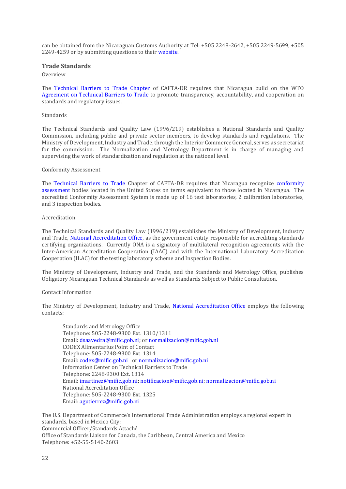can be obtained from the Nicaraguan Customs Authority at Tel: +505 2248-2642, +505 2249-5699, +505 2249-4259 or by submitting questions to their [website.](http://www.dga.gob.ni/Consultas.cfm)

#### <span id="page-21-0"></span>**Trade Standards**

Overview

The [Technical Barriers to Trade Chapter](http://www.ustr.gov/sites/default/files/uploads/agreements/cafta/asset_upload_file242_3924.pdf) of CAFTA-DR requires that Nicaragua build on the WTO [Agreement on Technical Barriers to Trade](http://www.wto.org/english/tratop_e/tbt_e/tbt_e.htm) to promote transparency, accountability, and cooperation on standards and regulatory issues.

#### Standards

The Technical Standards and Quality Law (1996/219) establishes a National Standards and Quality Commission, including public and private sector members, to develop standards and regulations. The Ministry of Development, Industry and Trade, through the Interior Commerce General, serves as secretariat for the commission. The Normalization and Metrology Department is in charge of managing and supervising the work of standardization and regulation at the national level.

#### Conformity Assessment

The [Technical Barriers to Trade](http://www.ustr.gov/sites/default/files/uploads/agreements/cafta/asset_upload_file242_3924.pdf) Chapter of CAFTA-DR requires that Nicaragua recognize [conformity](http://www.iso.org/iso/conformity_assessment)  [assessment](http://www.iso.org/iso/conformity_assessment) bodies located in the United States on terms equivalent to those located in Nicaragua. The accredited Conformity Assessment System is made up of 16 test laboratories, 2 calibration laboratories, and 3 inspection bodies.

#### Accreditation

The Technical Standards and Quality Law (1996/219) establishes the Ministry of Development, Industry and Trade, [National Accreditation Office,](http://www.mific.gob.ni/QUEESELSISTEMANACIONALDELACALIDAD/SISTEMANACIONALDEACREDITACION/OFICINANACIONALDEACREDITACION/tabid/166/language/en-US/Default.aspx) as the government entity responsible for accrediting standards certifying organizations. Currently ONA is a signatory of multilateral recognition agreements with the Inter-American Accreditation Cooperation (IAAC) and with the International Laboratory Accreditation Cooperation (ILAC) for the testing laboratory scheme and Inspection Bodies.

The Ministry of Development, Industry and Trade, and the Standards and Metrology Office, publishes Obligatory Nicaraguan Technical Standards as well as Standards Subject to Public Consultation.

#### Contact Information

The Ministry of Development, Industry and Trade, [National Accreditation Office](http://www.mific.gob.ni/QUEESELSISTEMANACIONALDELACALIDAD/SISTEMANACIONALDEACREDITACION/OFICINANACIONALDEACREDITACION/tabid/166/language/en-US/Default.aspx) employs the following contacts:

Standards and Metrology Office Telephone: 505-2248-9300 Ext. 1310/1311 Email[: dsaavedra@mific.gob.ni; or normalizacion@](about:blank)mific.gob.ni CODEX Alimentarius Point of Contact Telephone: 505-2248-9300 Ext. 1314 Email[: codex@mific.gob.ni](mailto:codex@mific.gob.ni) or normalizacion@mific.gob.ni Information Center on Technical Barriers to Trade Telephone: 2248-9300 Ext. 1314 Email: imartinez@mific.gob.ni; notificacion@mific.gob.ni[; normalizacion@mific.gob.ni](mailto:normalizacion@mific.gob.ni) [National Accreditation Office](http://www.mific.gob.ni/SNC/SNAC/tabid/125/language/en-US/Default.aspx) Telephone: 505-2248-9300 Ext. 1325 Email: agutierrez@mific.gob.ni

The U.S. Department of Commerce's International Trade Administration employs a regional expert in standards, based in Mexico City: Commercial Officer/Standards Attaché Office of Standards Liaison for Canada, the Caribbean, Central America and Mexico Telephone: +52-55-5140-2603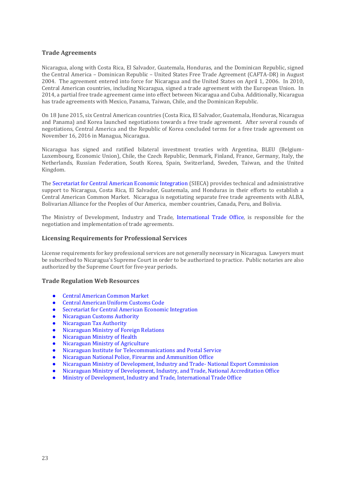# <span id="page-22-0"></span>**Trade Agreements**

Nicaragua, along with Costa Rica, El Salvador, Guatemala, Honduras, and the Dominican Republic, signed the Central America – Dominican Republic – United States Free Trade Agreement (CAFTA-DR) in August 2004. The agreement entered into force for Nicaragua and the United States on April 1, 2006. In 2010, Central American countries, including Nicaragua, signed a trade agreement with the European Union. In 2014, a partial free trade agreement came into effect between Nicaragua and Cuba. Additionally, Nicaragua has trade agreements with Mexico, Panama, Taiwan, Chile, and the Dominican Republic.

On 18 June 2015, six Central American countries (Costa Rica, El Salvador, Guatemala, Honduras, Nicaragua and Panama) and Korea launched negotiations towards a free trade agreement. After several rounds of negotiations, Central America and the Republic of Korea concluded terms for a free trade agreement on November 16, 2016 in Managua, Nicaragua.

Nicaragua has signed and ratified bilateral investment treaties with Argentina, BLEU (Belgium-Luxembourg, Economic Union), Chile, the Czech Republic, Denmark, Finland, France, Germany, Italy, the Netherlands, Russian Federation, South Korea, Spain, Switzerland, Sweden, Taiwan, and the United Kingdom.

Th[e Secretariat for Central American Economic Integration](http://www.sieca.int/site/inicio.aspx?lng=2) (SIECA) provides technical and administrative support to Nicaragua, Costa Rica, El Salvador, Guatemala, and Honduras in their efforts to establish a [Central American Common Market.](http://www.sieca.int/site/Enlaces.aspx?ID=002005) Nicaragua is negotiating separate free trade agreements with ALBA, Bolivarian Alliance for the Peoples of Our America, member countries, Canada, Peru, and Bolivia.

The Ministry of Development, Industry and Trade, [International Trade Office,](http://www.mific.gob.ni/COMERCIOEXTERIOR/tabid/191/language/en-US/Default.aspx) is responsible for the negotiation and implementation of trade agreements.

#### <span id="page-22-1"></span>**Licensing Requirements for Professional Services**

License requirements for key professional services are not generally necessary in Nicaragua. Lawyers must be subscribed to Nicaragua's Supreme Court in order to be authorized to practice. Public notaries are also authorized by the Supreme Court for five-year periods.

#### <span id="page-22-2"></span>**Trade Regulation Web Resources**

- [Central American Common Market](http://www.sieca.int/General/Default.aspx)
- [Central American Uniform Customs Code](https://www.sieca.int/index.php/economic-integration/economic-integration/free-trade/customs-administration/?lang=en)
- [Secretariat for Central American Economic Integration](http://www.sieca.int/)
- [Nicaraguan Customs Authority](http://www.dga.gob.ni/)
- [Nicaraguan Tax Authority](http://www.dgi.gob.ni/)
- [Nicaraguan Ministry of Foreign Relations](http://www.cancilleria.gob.ni/ministerio/contactos.shtml)
- [Nicaraguan Ministry of Health](http://www.minsa.gob.ni/)
- [Nicaraguan Ministry of Agriculture](http://www.magfor.gob.ni/)
- [Nicaraguan Institute for Telecommunications and Postal Service](http://www.telcor.gob.ni/Default.asp)
- Nicaraguan National Police, [Firearms and Ammunition Office](http://www.policia.gob.ni/servi-daem.html)
- [Nicaraguan Ministry of Development, Industry and Trade-](http://www.mific.gob.ni/FOMENTOALAEXPORTACION/tabid/64/language/en-US/Default.aspx) National Export Commission
- [Nicaraguan Ministry of Development, Industry, and Trade, National Accreditation Office](http://www.mific.gob.ni/QUEESELSISTEMANACIONALDELACALIDAD/SISTEMANACIONALDEACREDITACION/OFICINANACIONALDEACREDITACION/tabid/166/language/en-US/Default.aspx)
- Ministry of Development, Industry and Trade, [International Trade Office](http://www.mific.gob.ni/COMERCIOEXTERIOR/tabid/191/language/en-US/Default.aspx)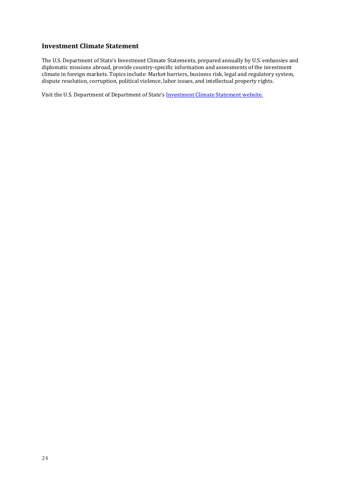# <span id="page-23-0"></span>**Investment Climate Statement**

The U.S. Department of State's Investment Climate Statements, prepared annually by U.S. embassies and diplomatic missions abroad, provide country-specific information and assessments of the investment climate in foreign markets. Topics include: Market barriers, business risk, legal and regulatory system, dispute resolution, corruption, political violence, labor issues, and intellectual property rights.

Visit the U.S. Department of Department of State's [Investment Climate Statement website.](https://state.gov/reports/2019-investment-climate-statements/nicaragua/)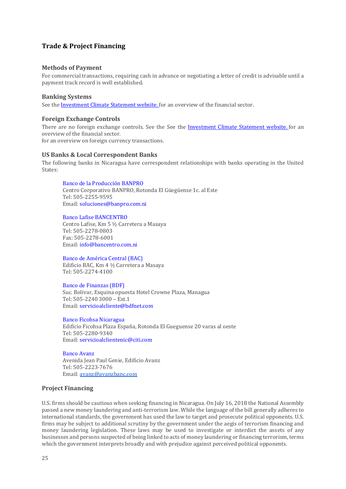# <span id="page-24-0"></span>**Trade & Project Financing**

#### <span id="page-24-1"></span>**Methods of Payment**

For commercial transactions, requiring cash in advance or negotiating a letter of credit is advisable until a payment track record is well established.

#### <span id="page-24-2"></span>**Banking Systems**

See the [Investment Climate Statement website.](https://state.gov/reports/2019-investment-climate-statements/nicaragua/) for an overview of the financial sector.

#### <span id="page-24-3"></span>**Foreign Exchange Controls**

There are no foreign exchange controls. See the See the [Investment Climate Statement website.](https://state.gov/reports/2019-investment-climate-statements/nicaragua/) for an overview of the financial sector. for an overview on foreign currency transactions.

#### <span id="page-24-4"></span>**US Banks & Local Correspondent Banks**

The following banks in Nicaragua have correspondent relationships with banks operating in the United States:

#### [Banco de la Producción BANPRO](https://www.banpro.com.ni/)

Centro Corporativo BANPRO, Rotonda El Güegüense 1c. al Este Tel: 505-2255-9595 Email[: soluciones@banpro.com.ni](mailto:soluciones@banpro.com.ni)

#### [Banco Lafise BANCENTRO](http://www.bancentro.com.ni/Html/index.asp)

Centro Lafise, Km 5 ½ Carretera a Masaya Tel: 505-2278-0803 Fax: 505-2278-6001 Email[: info@bancentro.com.ni](mailto:info@bancentro.com.ni)

[Banco de América Central \(BAC\)](https://www.bac.net/nicaragua/esp/banco/index.html)

Edificio BAC, Km 4 ½ Carretera a Masaya Tel: 505-2274-4100

#### [Banco de Finanzas \(BDF\)](http://www.bdf.com.ni/)

Suc. Bolivar, Esquina opuesta Hotel Crowne Plaza, Managua Tel: 505-2240 3000 – Ext.1 Email[: servicioalcliente@bdfnet.com](mailto:servicioalcliente@bdfnet.com)

[Banco Ficohsa Nicaragua](http://www.ficohsa.com/ni/) Edificio Ficohsa Plaza España, Rotonda El Gueguense 20 varas al oeste Tel: 505-2280-9340 Email[: servicioalclientenic@citi.com](mailto:servicioalclientenic@citi.com)

[Banco Avanz](http://www.procredit.com.ni/) Avenida Jean Paul Genie, Edificio Avanz Tel: 505-2223-7676 Email[: avanz@avanzbanc.com](mailto:avanz@avanzbanc.com)

# <span id="page-24-5"></span>**Project Financing**

U.S. firms should be cautious when seeking financing in Nicaragua. On July 16, 2018 the National Assembly passed a new money laundering and anti-terrorism law. While the language of the bill generally adheres to international standards, the government has used the law to target and prosecute political opponents. U.S. firms may be subject to additional scrutiny by the government under the aegis of terrorism financing and money laundering legislation. These laws may be used to investigate or interdict the assets of any businesses and persons suspected of being linked to acts of money laundering or financing terrorism, terms which the government interprets broadly and with prejudice against perceived political opponents.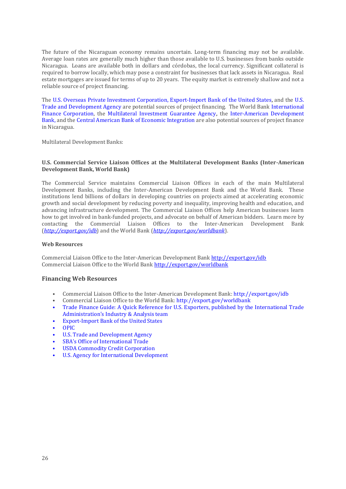The future of the Nicaraguan economy remains uncertain. Long-term financing may not be available. Average loan rates are generally much higher than those available to U.S. businesses from banks outside Nicaragua. Loans are available both in dollars and córdobas, the local currency. Significant collateral is required to borrow locally, which may pose a constraint for businesses that lack assets in Nicaragua. Real estate mortgages are issued for terms of up to 20 years. The equity market is extremely shallow and not a reliable source of project financing.

The [U.S. Overseas Private Investment Corporation,](http://www.opic.gov/) [Export-Import Bank of the United States,](http://www.exim.gov/) and the [U.S.](http://www.ustda.gov/)  [Trade and Development Agency](http://www.ustda.gov/) are potential sources of project financing. The World Bank [International](http://www.ifc.org/)  [Finance Corporation,](http://www.ifc.org/) the [Multilateral Investment Guarantee Agency,](http://www.miga.org/) the [Inter-American Development](https://www.iadb.org/en)  [Bank,](https://www.iadb.org/en) and the [Central American Bank of Economic Integration](https://www.bcie.org/en/) are also potential sources of project finance in Nicaragua.

Multilateral Development Banks:

#### **U.S. Commercial Service Liaison Offices at the Multilateral Development Banks (Inter-American Development Bank, World Bank)**

The Commercial Service maintains Commercial Liaison Offices in each of the main Multilateral Development Banks, including the Inter-American Development Bank and the World Bank. These institutions lend billions of dollars in developing countries on projects aimed at accelerating economic growth and social development by reducing poverty and inequality, improving health and education, and advancing infrastructure development. The Commercial Liaison Offices help American businesses learn how to get involved in bank-funded projects, and advocate on behalf of American bidders. Learn more by contacting the Commercial Liaison Offices to the Inter-American Development Bank (*[http://export.gov/idb](http://export.gov/idb#_blank)*) and the World Bank (*[http://export.gov/worldbank](http://export.gov/worldbank#_blank)*).

#### **Web Resources**

Commercial Liaison Office to the Inter-American Development Bank [http://export.gov/idb](http://export.gov/idb#_blank) Commercial Liaison Office to the World Ban[k http://export.gov/worldbank](http://export.gov/worldbank#_blank)

# <span id="page-25-0"></span>**Financing Web Resources**

- Commercial Liaison Office to the Inter-American Development Bank: http://export.gov/idb
- Commercial Liaison Office to the World Bank:<http://export.gov/worldbank>
- [Trade Finance Guide: A Quick Reference for U.S. Exporters, published by the International Trade](https://www.export.gov/tradefinanceguide)  Administration's [Industry & Analysis team](https://www.export.gov/tradefinanceguide)
- [Export-Import Bank of the United States](http://www.exim.gov/)
- [OPIC](http://www.opic.gov/)
- U.S[. Trade and Development Agency](http://www.tda.gov/)
- [SBA's Office of International Trade](http://www.sba.gov/oit/)
- [USDA Commodity Credit Corporation](https://www.fsa.usda.gov/about-fsa/structure-and-organization/commodity-credit-corporation/index)
- [U.S. Agency for International Development](http://www.usaid.gov/)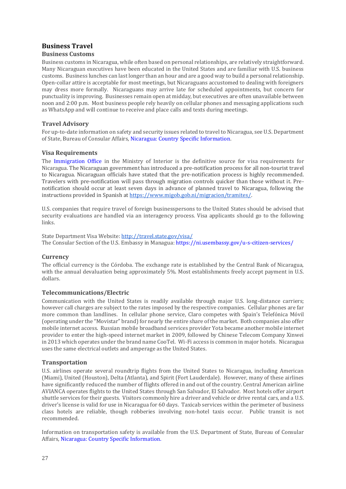# <span id="page-26-0"></span>**Business Travel**

# <span id="page-26-1"></span>**Business Customs**

Business customs in Nicaragua, while often based on personal relationships, are relatively straightforward. Many Nicaraguan executives have been educated in the United States and are familiar with U.S. business customs. Business lunches can last longer than an hour and are a good way to build a personal relationship. Open-collar attire is acceptable for most meetings, but Nicaraguans accustomed to dealing with foreigners may dress more formally. Nicaraguans may arrive late for scheduled appointments, but concern for punctuality is improving. Businesses remain open at midday, but executives are often unavailable between noon and 2:00 p.m. Most business people rely heavily on cellular phones and messaging applications such as WhatsApp and will continue to receive and place calls and texts during meetings.

# <span id="page-26-2"></span>**Travel Advisory**

For up-to-date information on safety and security issues related to travel to Nicaragua, see U.S. Department of State, Bureau of Consular Affairs, [Nicaragua: Country Specific Information.](https://travel.state.gov/content/passports/en/country/nicaragua.html)

# <span id="page-26-3"></span>**Visa Requirements**

The [Immigration Office](https://www.migob.gob.ni/migracion/) in the Ministry of Interior is the definitive source for visa requirements for Nicaragua. The Nicaraguan government has introduced a pre-notification process for all non-tourist travel to Nicaragua. Nicaraguan officials have stated that the pre-notification process is highly recommended. Travelers with pre-notification will pass through migration controls quicker than those without it. Prenotification should occur at least seven days in advance of planned travel to Nicaragua, following the instructions provided in Spanish a[t https://www.migob.gob.ni/migracion/tramites/.](https://www.migob.gob.ni/migracion/tramites/solicitud-de-ingreso-ordenado-y-seguro-de-visitantes-invitados-por-motivos-diferentes-al-turismo/)

U.S. companies that require travel of foreign businesspersons to the United States should be advised that security evaluations are handled via an interagency process. Visa applicants should go to the following links.

State Department Visa Website[: http://travel.state.gov/visa/](https://travel.state.gov/content/travel/en/us-visas.html) The Consular Section of the U.S. Embassy in Managua: https://ni.usembassy.gov/u-s-citizen-services/

# <span id="page-26-4"></span>**Currency**

The official currency is the Córdoba. The exchange rate is established by the Central Bank of Nicaragua, with the annual devaluation being approximately 5%. Most establishments freely accept payment in U.S. dollars.

# <span id="page-26-5"></span>**Telecommunications/Electric**

Communication with the United States is readily available through major U.S. long-distance carriers; however call charges are subject to the rates imposed by the respective companies. Cellular phones are far more common than landlines. In cellular phone service, Claro competes with Spain's Telefónica Móvil (operating under the "Movistar" brand) for nearly the entire share of the market. Both companies also offer mobile internet access. Russian mobile broadband services provider Yota became another mobile internet provider to enter the high-speed internet market in 2009, followed by Chinese Telecom Company Xinwei in 2013 which operates under the brand name CooTel. Wi-Fi access is common in major hotels. Nicaragua uses the same electrical outlets and amperage as the United States.

# <span id="page-26-6"></span>**Transportation**

U.S. airlines operate several roundtrip flights from the United States to Nicaragua, including American (Miami), United (Houston), Delta (Atlanta), and Spirit (Fort Lauderdale). However, many of these airlines have significantly reduced the number of flights offered in and out of the country. Central American airline AVIANCA operates flights to the United States through San Salvador, El Salvador. Most hotels offer airport shuttle services for their guests. Visitors commonly hire a driver and vehicle or drive rental cars, and a U.S. driver's license is valid for use in Nicaragua for 60 days. Taxicab services within the perimeter of business class hotels are reliable, though robberies involving non-hotel taxis occur. Public transit is not recommended.

Information on transportation safety is available from the U.S. Department of State, Bureau of Consular Affairs[, Nicaragua: Country Specific Information.](https://travel.state.gov/content/passports/en/country/nicaragua.html)